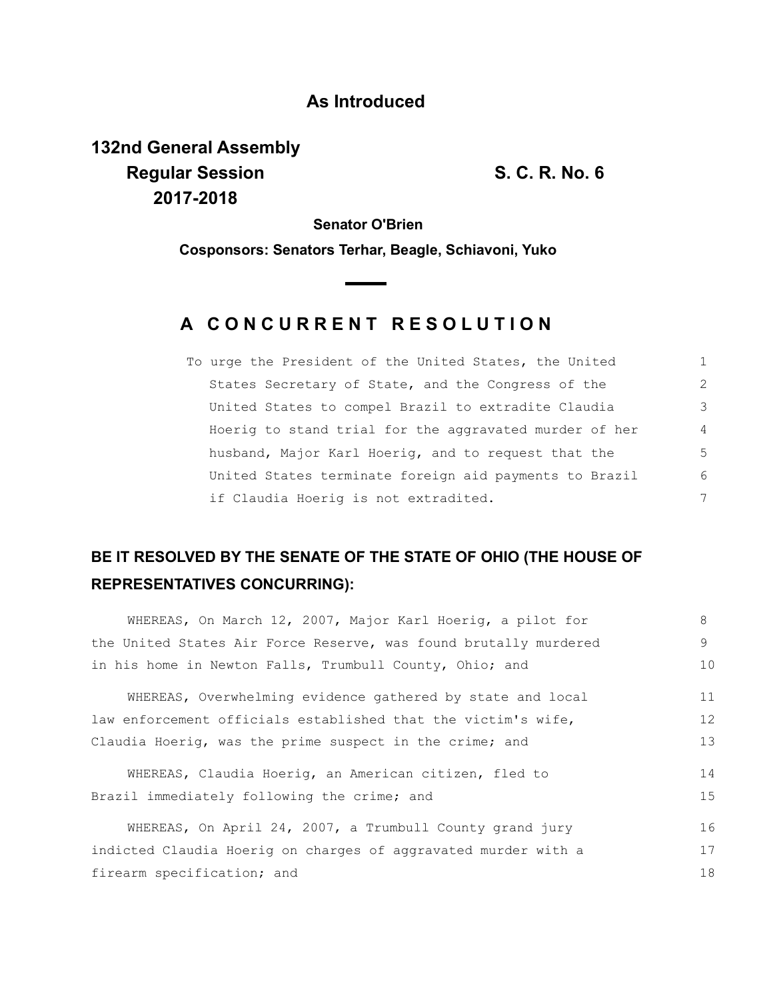## **As Introduced**

**132nd General Assembly Regular Session S. C. R. No. 6 2017-2018**

**Senator O'Brien**

**Cosponsors: Senators Terhar, Beagle, Schiavoni, Yuko**

## **A C O N C U R R E N T R E S O L U T I O N**

| To urge the President of the United States, the United | 1              |
|--------------------------------------------------------|----------------|
| States Secretary of State, and the Congress of the     | 2              |
| United States to compel Brazil to extradite Claudia    | 3              |
| Hoerig to stand trial for the aggravated murder of her | $\overline{4}$ |
| husband, Major Karl Hoerig, and to request that the    | -5             |
| United States terminate foreign aid payments to Brazil | 6              |
| if Claudia Hoerig is not extradited.                   | 7              |

## **BE IT RESOLVED BY THE SENATE OF THE STATE OF OHIO (THE HOUSE OF REPRESENTATIVES CONCURRING):**

| WHEREAS, On March 12, 2007, Major Karl Hoerig, a pilot for       | 8  |
|------------------------------------------------------------------|----|
| the United States Air Force Reserve, was found brutally murdered | 9  |
| in his home in Newton Falls, Trumbull County, Ohio; and          | 10 |
| WHEREAS, Overwhelming evidence gathered by state and local       | 11 |
| law enforcement officials established that the victim's wife,    | 12 |
| Claudia Hoerig, was the prime suspect in the crime; and          |    |
| WHEREAS, Claudia Hoerig, an American citizen, fled to            | 14 |
| Brazil immediately following the crime; and                      | 15 |
| WHEREAS, On April 24, 2007, a Trumbull County grand jury         | 16 |
| indicted Claudia Hoerig on charges of aggravated murder with a   | 17 |
| firearm specification; and                                       |    |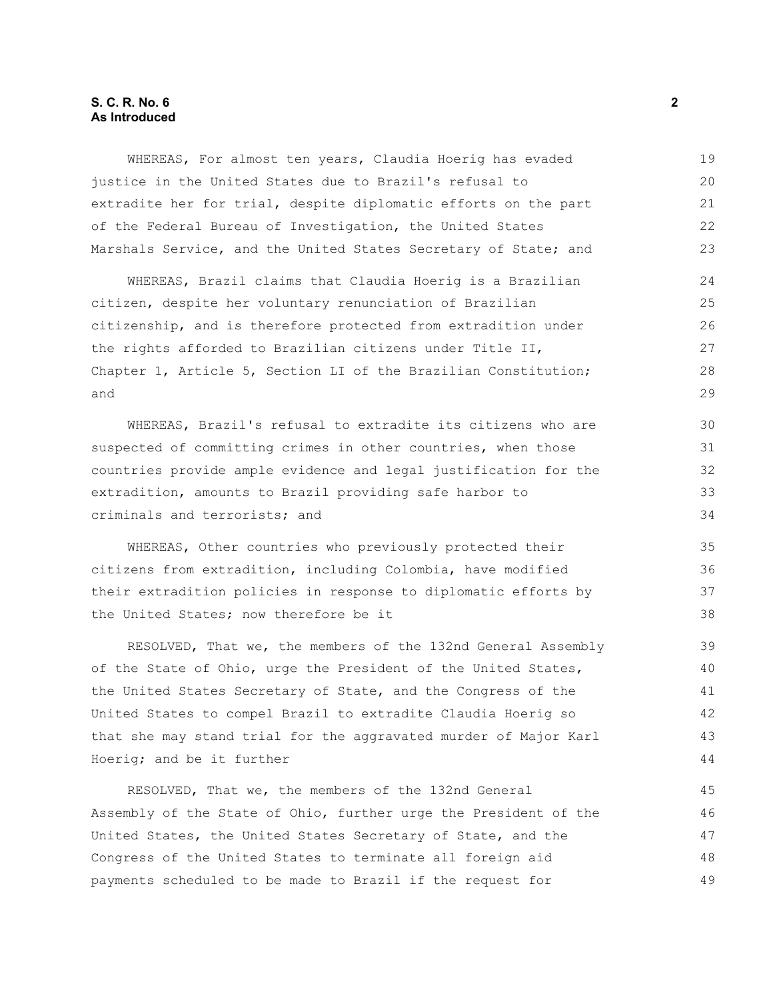## **S. C. R. No. 6 2 As Introduced**

WHEREAS, For almost ten years, Claudia Hoerig has evaded justice in the United States due to Brazil's refusal to extradite her for trial, despite diplomatic efforts on the part of the Federal Bureau of Investigation, the United States Marshals Service, and the United States Secretary of State; and

WHEREAS, Brazil claims that Claudia Hoerig is a Brazilian citizen, despite her voluntary renunciation of Brazilian citizenship, and is therefore protected from extradition under the rights afforded to Brazilian citizens under Title II, Chapter 1, Article 5, Section LI of the Brazilian Constitution; and

WHEREAS, Brazil's refusal to extradite its citizens who are suspected of committing crimes in other countries, when those countries provide ample evidence and legal justification for the extradition, amounts to Brazil providing safe harbor to criminals and terrorists; and

WHEREAS, Other countries who previously protected their citizens from extradition, including Colombia, have modified their extradition policies in response to diplomatic efforts by the United States; now therefore be it

RESOLVED, That we, the members of the 132nd General Assembly of the State of Ohio, urge the President of the United States, the United States Secretary of State, and the Congress of the United States to compel Brazil to extradite Claudia Hoerig so that she may stand trial for the aggravated murder of Major Karl Hoerig; and be it further

RESOLVED, That we, the members of the 132nd General Assembly of the State of Ohio, further urge the President of the United States, the United States Secretary of State, and the Congress of the United States to terminate all foreign aid payments scheduled to be made to Brazil if the request for 45 46 47 48 49